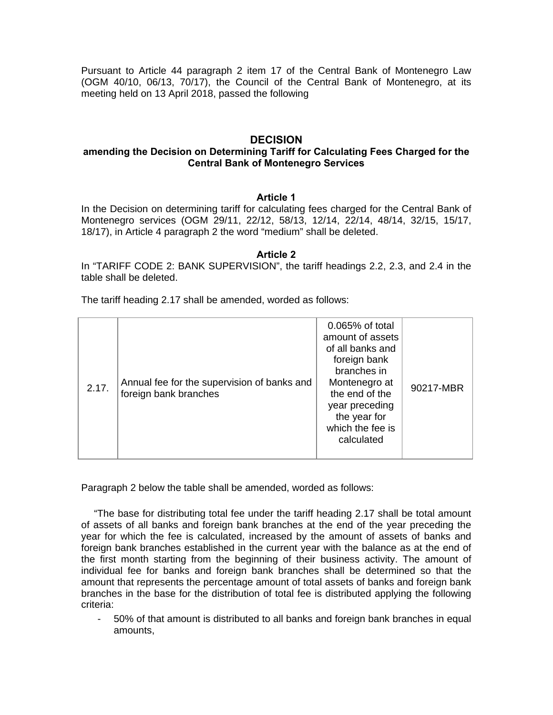Pursuant to Article 44 paragraph 2 item 17 of the Central Bank of Montenegro Law (OGM 40/10, 06/13, 70/17), the Council of the Central Bank of Montenegro, at its meeting held on 13 April 2018, passed the following

## **DECISION**

### **amending the Decision on Determining Tariff for Calculating Fees Charged for the Central Bank of Montenegro Services**

### **Article 1**

In the Decision on determining tariff for calculating fees charged for the Central Bank of Montenegro services (OGM 29/11, 22/12, 58/13, 12/14, 22/14, 48/14, 32/15, 15/17, 18/17), in Article 4 paragraph 2 the word "medium" shall be deleted.

#### **Article 2**

In "TARIFF CODE 2: BANK SUPERVISION", the tariff headings 2.2, 2.3, and 2.4 in the table shall be deleted.

The tariff heading 2.17 shall be amended, worded as follows:

| 2.17. | Annual fee for the supervision of banks and<br>foreign bank branches | 0.065% of total<br>amount of assets<br>of all banks and<br>foreign bank<br>branches in<br>Montenegro at<br>the end of the<br>year preceding<br>the year for<br>which the fee is<br>calculated | 90217-MBR |
|-------|----------------------------------------------------------------------|-----------------------------------------------------------------------------------------------------------------------------------------------------------------------------------------------|-----------|
|-------|----------------------------------------------------------------------|-----------------------------------------------------------------------------------------------------------------------------------------------------------------------------------------------|-----------|

Paragraph 2 below the table shall be amended, worded as follows:

"The base for distributing total fee under the tariff heading 2.17 shall be total amount of assets of all banks and foreign bank branches at the end of the year preceding the year for which the fee is calculated, increased by the amount of assets of banks and foreign bank branches established in the current year with the balance as at the end of the first month starting from the beginning of their business activity. The amount of individual fee for banks and foreign bank branches shall be determined so that the amount that represents the percentage amount of total assets of banks and foreign bank branches in the base for the distribution of total fee is distributed applying the following criteria:

- 50% of that amount is distributed to all banks and foreign bank branches in equal amounts,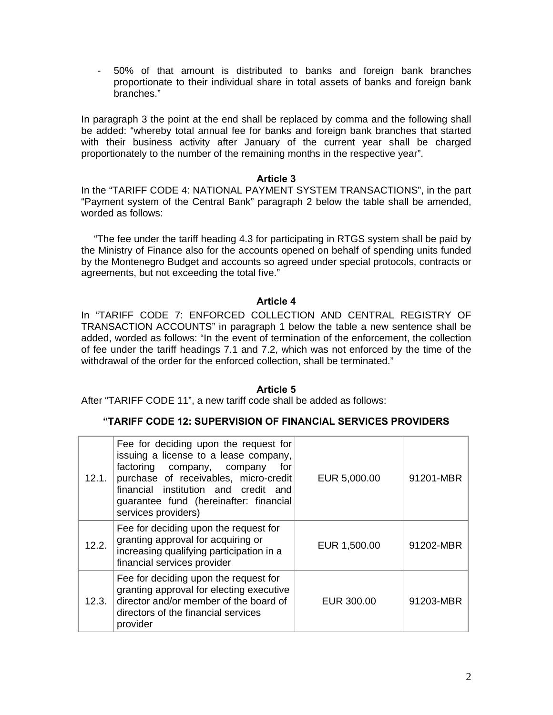- 50% of that amount is distributed to banks and foreign bank branches proportionate to their individual share in total assets of banks and foreign bank branches."

In paragraph 3 the point at the end shall be replaced by comma and the following shall be added: "whereby total annual fee for banks and foreign bank branches that started with their business activity after January of the current year shall be charged proportionately to the number of the remaining months in the respective year".

### **Article 3**

In the "TARIFF CODE 4: NATIONAL PAYMENT SYSTEM TRANSACTIONS", in the part "Payment system of the Central Bank" paragraph 2 below the table shall be amended, worded as follows:

"The fee under the tariff heading 4.3 for participating in RTGS system shall be paid by the Ministry of Finance also for the accounts opened on behalf of spending units funded by the Montenegro Budget and accounts so agreed under special protocols, contracts or agreements, but not exceeding the total five."

### **Article 4**

In "TARIFF CODE 7: ENFORCED COLLECTION AND CENTRAL REGISTRY OF TRANSACTION ACCOUNTS" in paragraph 1 below the table a new sentence shall be added, worded as follows: "In the event of termination of the enforcement, the collection of fee under the tariff headings 7.1 and 7.2, which was not enforced by the time of the withdrawal of the order for the enforced collection, shall be terminated."

### **Article 5**

After "TARIFF CODE 11", a new tariff code shall be added as follows:

### **"TARIFF CODE 12: SUPERVISION OF FINANCIAL SERVICES PROVIDERS**

| 12.1. | Fee for deciding upon the request for<br>issuing a license to a lease company,<br>factoring company, company<br>for<br>purchase of receivables, micro-credit<br>financial institution and credit and<br>guarantee fund (hereinafter: financial<br>services providers) | EUR 5,000.00 | 91201-MBR |
|-------|-----------------------------------------------------------------------------------------------------------------------------------------------------------------------------------------------------------------------------------------------------------------------|--------------|-----------|
| 12.2. | Fee for deciding upon the request for<br>granting approval for acquiring or<br>increasing qualifying participation in a<br>financial services provider                                                                                                                | EUR 1,500.00 | 91202-MBR |
| 12.3. | Fee for deciding upon the request for<br>granting approval for electing executive<br>director and/or member of the board of<br>directors of the financial services<br>provider                                                                                        | EUR 300.00   | 91203-MBR |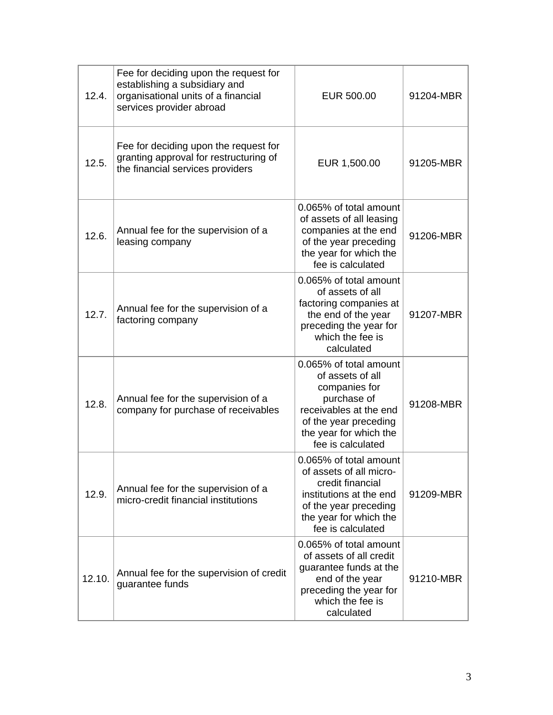| 12.4.  | Fee for deciding upon the request for<br>establishing a subsidiary and<br>organisational units of a financial<br>services provider abroad | EUR 500.00                                                                                                                                                                   | 91204-MBR |
|--------|-------------------------------------------------------------------------------------------------------------------------------------------|------------------------------------------------------------------------------------------------------------------------------------------------------------------------------|-----------|
| 12.5.  | Fee for deciding upon the request for<br>granting approval for restructuring of<br>the financial services providers                       | EUR 1,500.00                                                                                                                                                                 | 91205-MBR |
| 12.6.  | Annual fee for the supervision of a<br>leasing company                                                                                    | 0.065% of total amount<br>of assets of all leasing<br>companies at the end<br>of the year preceding<br>the year for which the<br>fee is calculated                           | 91206-MBR |
| 12.7.  | Annual fee for the supervision of a<br>factoring company                                                                                  | 0.065% of total amount<br>of assets of all<br>factoring companies at<br>the end of the year<br>preceding the year for<br>which the fee is<br>calculated                      | 91207-MBR |
| 12.8.  | Annual fee for the supervision of a<br>company for purchase of receivables                                                                | 0.065% of total amount<br>of assets of all<br>companies for<br>purchase of<br>receivables at the end<br>of the year preceding<br>the year for which the<br>fee is calculated | 91208-MBR |
| 12.9.  | Annual fee for the supervision of a<br>micro-credit financial institutions                                                                | 0.065% of total amount<br>of assets of all micro-<br>credit financial<br>institutions at the end<br>of the year preceding<br>the year for which the<br>fee is calculated     | 91209-MBR |
| 12.10. | Annual fee for the supervision of credit<br>guarantee funds                                                                               | 0.065% of total amount<br>of assets of all credit<br>guarantee funds at the<br>end of the year<br>preceding the year for<br>which the fee is<br>calculated                   | 91210-MBR |